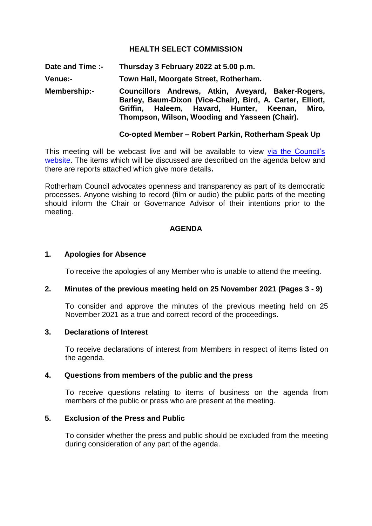## **HEALTH SELECT COMMISSION**

**Date and Time :- Thursday 3 February 2022 at 5.00 p.m.**

**Venue:- Town Hall, Moorgate Street, Rotherham.**

**Membership:- Councillors Andrews, Atkin, Aveyard, Baker-Rogers, Barley, Baum-Dixon (Vice-Chair), Bird, A. Carter, Elliott, Griffin, Haleem, Havard, Hunter, Keenan, Miro, Thompson, Wilson, Wooding and Yasseen (Chair).**

### **Co-opted Member – Robert Parkin, Rotherham Speak Up**

This meeting will be webcast live and will be available to view via the Council's [website.](https://rotherham.public-i.tv/core/portal/home) The items which will be discussed are described on the agenda below and there are reports attached which give more details**.**

Rotherham Council advocates openness and transparency as part of its democratic processes. Anyone wishing to record (film or audio) the public parts of the meeting should inform the Chair or Governance Advisor of their intentions prior to the meeting.

#### **AGENDA**

#### **1. Apologies for Absence**

To receive the apologies of any Member who is unable to attend the meeting.

### **2. Minutes of the previous meeting held on 25 November 2021 (Pages 3 - 9)**

To consider and approve the minutes of the previous meeting held on 25 November 2021 as a true and correct record of the proceedings.

#### **3. Declarations of Interest**

To receive declarations of interest from Members in respect of items listed on the agenda.

### **4. Questions from members of the public and the press**

To receive questions relating to items of business on the agenda from members of the public or press who are present at the meeting.

#### **5. Exclusion of the Press and Public**

To consider whether the press and public should be excluded from the meeting during consideration of any part of the agenda.